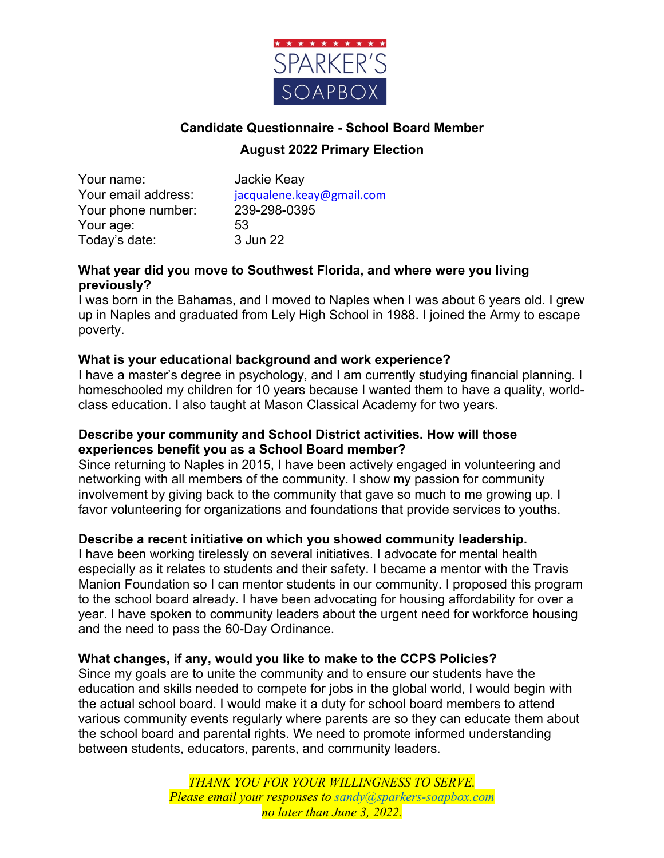

# **Candidate Questionnaire - School Board Member August 2022 Primary Election**

Your name: Jackie Keay Your phone number: 239-298-0395 Your age: 53 Today's date: 3 Jun 22

Your email address: jacqualene.keay@gmail.com

### **What year did you move to Southwest Florida, and where were you living previously?**

I was born in the Bahamas, and I moved to Naples when I was about 6 years old. I grew up in Naples and graduated from Lely High School in 1988. I joined the Army to escape poverty.

### **What is your educational background and work experience?**

I have a master's degree in psychology, and I am currently studying financial planning. I homeschooled my children for 10 years because I wanted them to have a quality, worldclass education. I also taught at Mason Classical Academy for two years.

### **Describe your community and School District activities. How will those experiences benefit you as a School Board member?**

Since returning to Naples in 2015, I have been actively engaged in volunteering and networking with all members of the community. I show my passion for community involvement by giving back to the community that gave so much to me growing up. I favor volunteering for organizations and foundations that provide services to youths.

### **Describe a recent initiative on which you showed community leadership.**

I have been working tirelessly on several initiatives. I advocate for mental health especially as it relates to students and their safety. I became a mentor with the Travis Manion Foundation so I can mentor students in our community. I proposed this program to the school board already. I have been advocating for housing affordability for over a year. I have spoken to community leaders about the urgent need for workforce housing and the need to pass the 60-Day Ordinance.

### **What changes, if any, would you like to make to the CCPS Policies?**

Since my goals are to unite the community and to ensure our students have the education and skills needed to compete for jobs in the global world, I would begin with the actual school board. I would make it a duty for school board members to attend various community events regularly where parents are so they can educate them about the school board and parental rights. We need to promote informed understanding between students, educators, parents, and community leaders.

> *THANK YOU FOR YOUR WILLINGNESS TO SERVE. Please email your responses to sandy@sparkers-soapbox.com no later than June 3, 2022.*